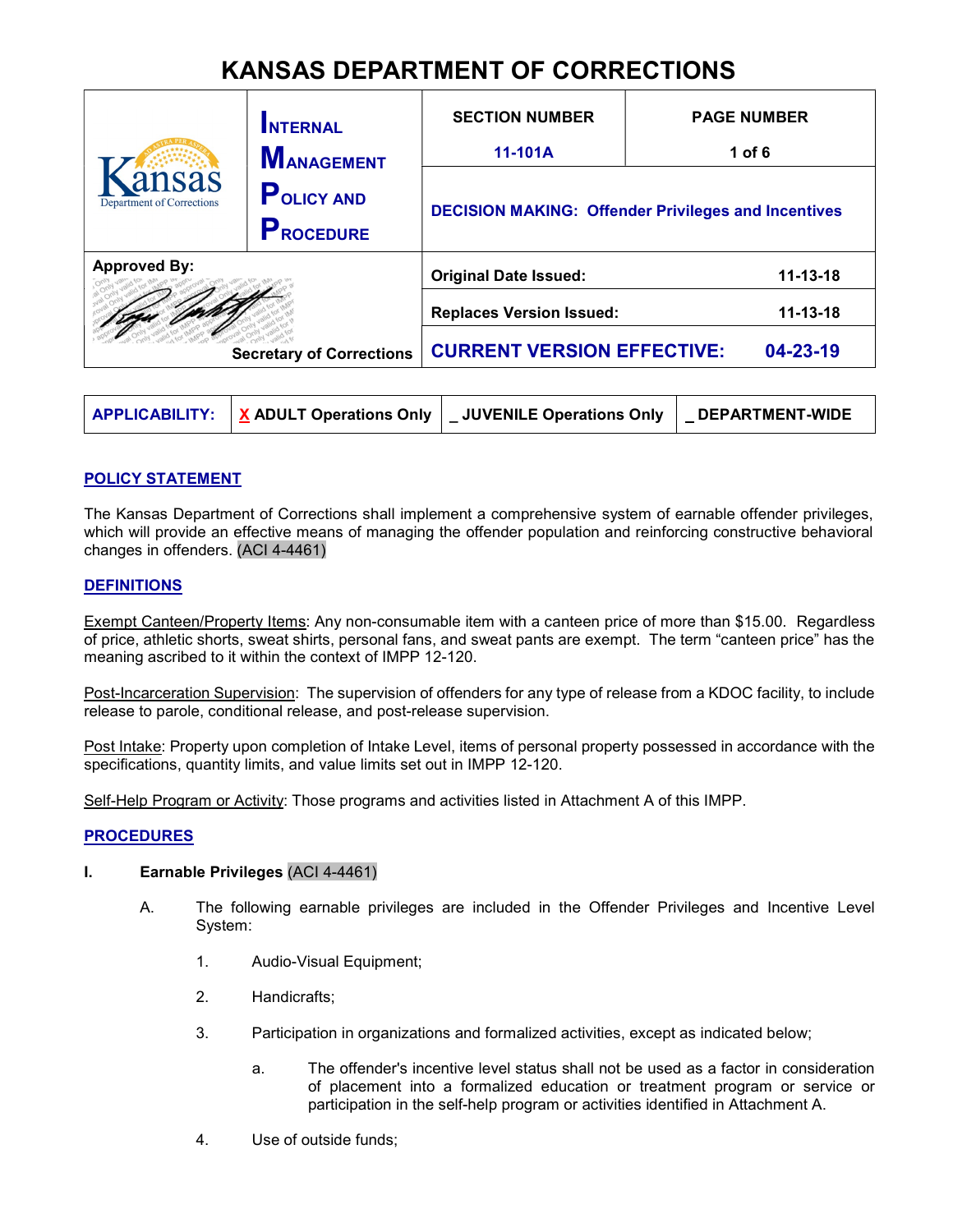# KANSAS DEPARTMENT OF CORRECTIONS

|                                                        | <b>INTERNAL</b><br><b>MANAGEMENT</b>  | <b>SECTION NUMBER</b><br>11-101A                           | <b>PAGE NUMBER</b><br>1 of $6$ |  |
|--------------------------------------------------------|---------------------------------------|------------------------------------------------------------|--------------------------------|--|
| insas<br><b>Department of Corrections</b>              | <b>POLICY AND</b><br><b>PROCEDURE</b> | <b>DECISION MAKING: Offender Privileges and Incentives</b> |                                |  |
| <b>Approved By:</b><br><b>Secretary of Corrections</b> |                                       | <b>Original Date Issued:</b>                               | $11 - 13 - 18$                 |  |
|                                                        |                                       | <b>Replaces Version Issued:</b>                            | $11 - 13 - 18$                 |  |
|                                                        |                                       | <b>CURRENT VERSION EFFECTIVE:</b>                          | 04-23-19                       |  |

|  |  | <b>APPLICABILITY:</b> $\mathbf{X}$ ADULT Operations Only $\mathbf{I}$ JUVENILE Operations Only | DEPARTMENT-WIDE |
|--|--|------------------------------------------------------------------------------------------------|-----------------|
|--|--|------------------------------------------------------------------------------------------------|-----------------|

# POLICY STATEMENT

The Kansas Department of Corrections shall implement a comprehensive system of earnable offender privileges, which will provide an effective means of managing the offender population and reinforcing constructive behavioral changes in offenders. (ACI 4-4461)

## **DEFINITIONS**

Exempt Canteen/Property Items: Any non-consumable item with a canteen price of more than \$15.00. Regardless of price, athletic shorts, sweat shirts, personal fans, and sweat pants are exempt. The term "canteen price" has the meaning ascribed to it within the context of IMPP 12-120.

Post-Incarceration Supervision: The supervision of offenders for any type of release from a KDOC facility, to include release to parole, conditional release, and post-release supervision.

Post Intake: Property upon completion of Intake Level, items of personal property possessed in accordance with the specifications, quantity limits, and value limits set out in IMPP 12-120.

Self-Help Program or Activity: Those programs and activities listed in Attachment A of this IMPP.

### **PROCEDURES**

# I. Earnable Privileges (ACI 4-4461)

- A. The following earnable privileges are included in the Offender Privileges and Incentive Level System:
	- 1. Audio-Visual Equipment;
	- 2. Handicrafts;
	- 3. Participation in organizations and formalized activities, except as indicated below;
		- a. The offender's incentive level status shall not be used as a factor in consideration of placement into a formalized education or treatment program or service or participation in the self-help program or activities identified in Attachment A.
	- 4. Use of outside funds;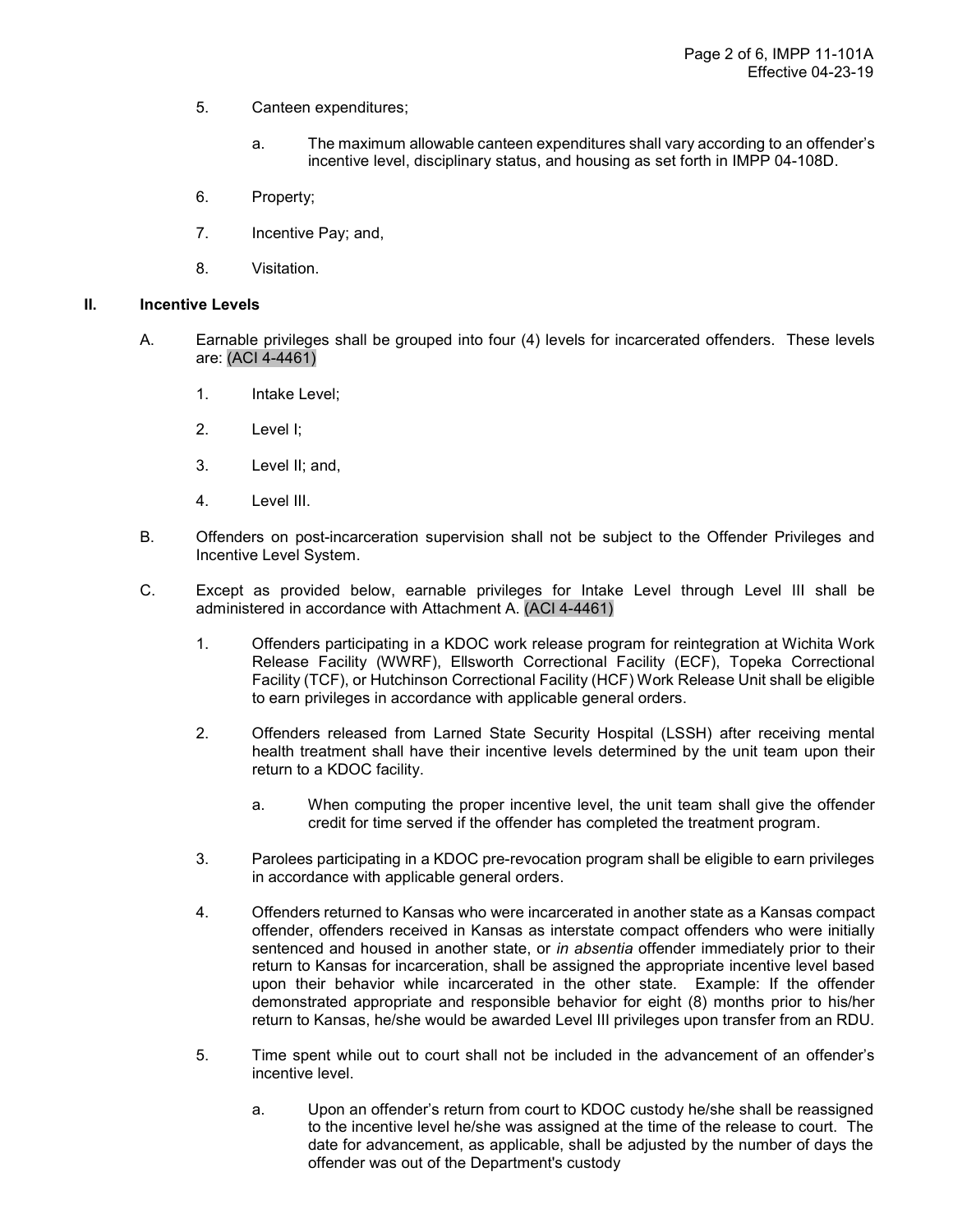- 5. Canteen expenditures;
	- a. The maximum allowable canteen expenditures shall vary according to an offender's incentive level, disciplinary status, and housing as set forth in IMPP 04-108D.
- 6. Property;
- 7. Incentive Pay; and,
- 8. Visitation.

### II. Incentive Levels

- A. Earnable privileges shall be grouped into four (4) levels for incarcerated offenders. These levels are: (ACI 4-4461)
	- 1. Intake Level;
	- 2. Level I;
	- 3. Level II; and,
	- 4. Level III.
- B. Offenders on post-incarceration supervision shall not be subject to the Offender Privileges and Incentive Level System.
- C. Except as provided below, earnable privileges for Intake Level through Level III shall be administered in accordance with Attachment A. (ACI 4-4461)
	- 1. Offenders participating in a KDOC work release program for reintegration at Wichita Work Release Facility (WWRF), Ellsworth Correctional Facility (ECF), Topeka Correctional Facility (TCF), or Hutchinson Correctional Facility (HCF) Work Release Unit shall be eligible to earn privileges in accordance with applicable general orders.
	- 2. Offenders released from Larned State Security Hospital (LSSH) after receiving mental health treatment shall have their incentive levels determined by the unit team upon their return to a KDOC facility.
		- a. When computing the proper incentive level, the unit team shall give the offender credit for time served if the offender has completed the treatment program.
	- 3. Parolees participating in a KDOC pre-revocation program shall be eligible to earn privileges in accordance with applicable general orders.
	- 4. Offenders returned to Kansas who were incarcerated in another state as a Kansas compact offender, offenders received in Kansas as interstate compact offenders who were initially sentenced and housed in another state, or in absentia offender immediately prior to their return to Kansas for incarceration, shall be assigned the appropriate incentive level based upon their behavior while incarcerated in the other state. Example: If the offender demonstrated appropriate and responsible behavior for eight (8) months prior to his/her return to Kansas, he/she would be awarded Level III privileges upon transfer from an RDU.
	- 5. Time spent while out to court shall not be included in the advancement of an offender's incentive level.
		- a. Upon an offender's return from court to KDOC custody he/she shall be reassigned to the incentive level he/she was assigned at the time of the release to court. The date for advancement, as applicable, shall be adjusted by the number of days the offender was out of the Department's custody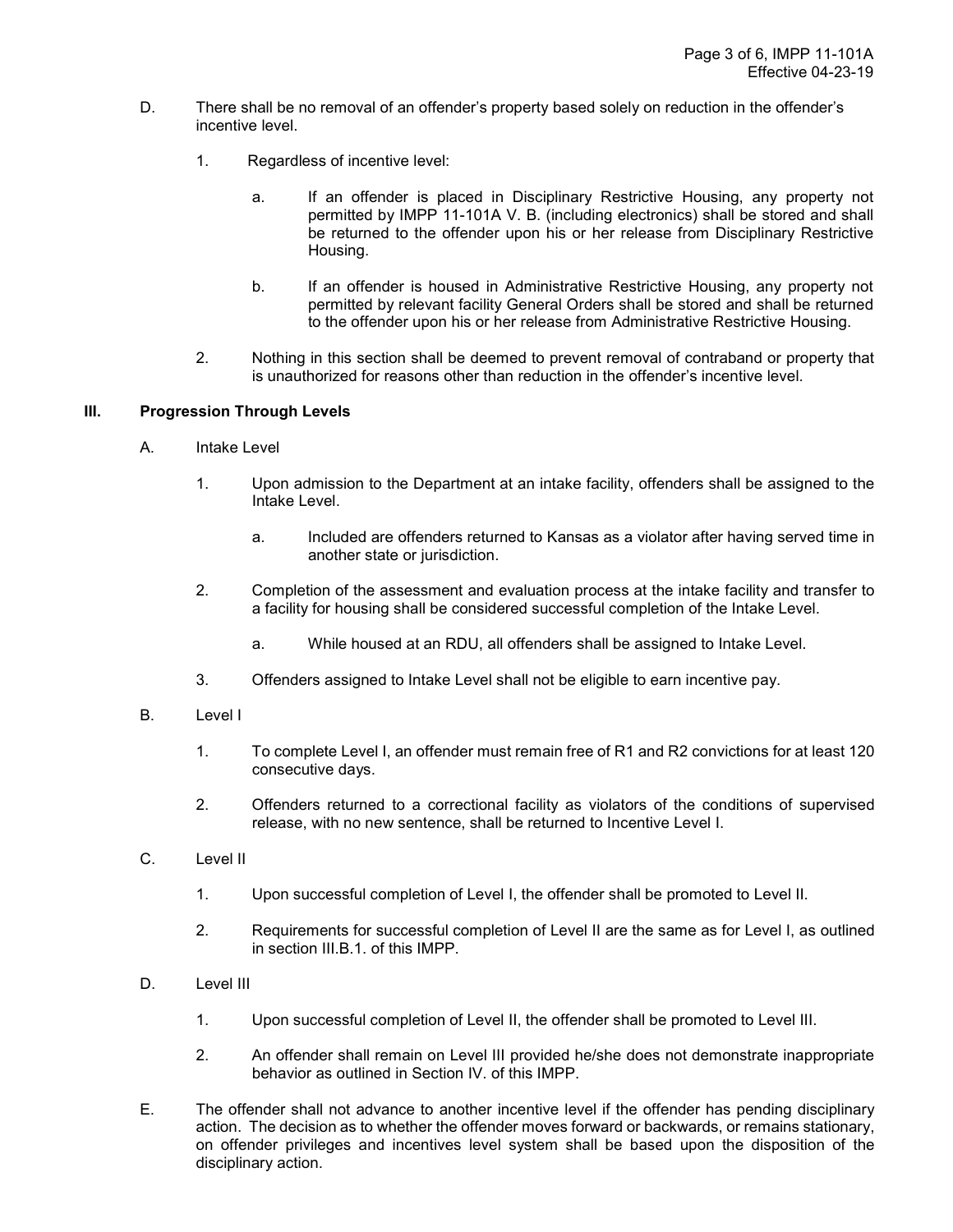- D. There shall be no removal of an offender's property based solely on reduction in the offender's incentive level.
	- 1. Regardless of incentive level:
		- a. If an offender is placed in Disciplinary Restrictive Housing, any property not permitted by IMPP 11-101A V. B. (including electronics) shall be stored and shall be returned to the offender upon his or her release from Disciplinary Restrictive Housing.
		- b. If an offender is housed in Administrative Restrictive Housing, any property not permitted by relevant facility General Orders shall be stored and shall be returned to the offender upon his or her release from Administrative Restrictive Housing.
	- 2. Nothing in this section shall be deemed to prevent removal of contraband or property that is unauthorized for reasons other than reduction in the offender's incentive level.

### III. Progression Through Levels

- A. Intake Level
	- 1. Upon admission to the Department at an intake facility, offenders shall be assigned to the Intake Level.
		- a. Included are offenders returned to Kansas as a violator after having served time in another state or jurisdiction.
	- 2. Completion of the assessment and evaluation process at the intake facility and transfer to a facility for housing shall be considered successful completion of the Intake Level.
		- a. While housed at an RDU, all offenders shall be assigned to Intake Level.
	- 3. Offenders assigned to Intake Level shall not be eligible to earn incentive pay.
- B. Level I
	- 1. To complete Level I, an offender must remain free of R1 and R2 convictions for at least 120 consecutive days.
	- 2. Offenders returned to a correctional facility as violators of the conditions of supervised release, with no new sentence, shall be returned to Incentive Level I.
- C. Level II
	- 1. Upon successful completion of Level I, the offender shall be promoted to Level II.
	- 2. Requirements for successful completion of Level II are the same as for Level I, as outlined in section III.B.1. of this IMPP.
- D. Level III
	- 1. Upon successful completion of Level II, the offender shall be promoted to Level III.
	- 2. An offender shall remain on Level III provided he/she does not demonstrate inappropriate behavior as outlined in Section IV. of this IMPP.
- E. The offender shall not advance to another incentive level if the offender has pending disciplinary action. The decision as to whether the offender moves forward or backwards, or remains stationary, on offender privileges and incentives level system shall be based upon the disposition of the disciplinary action.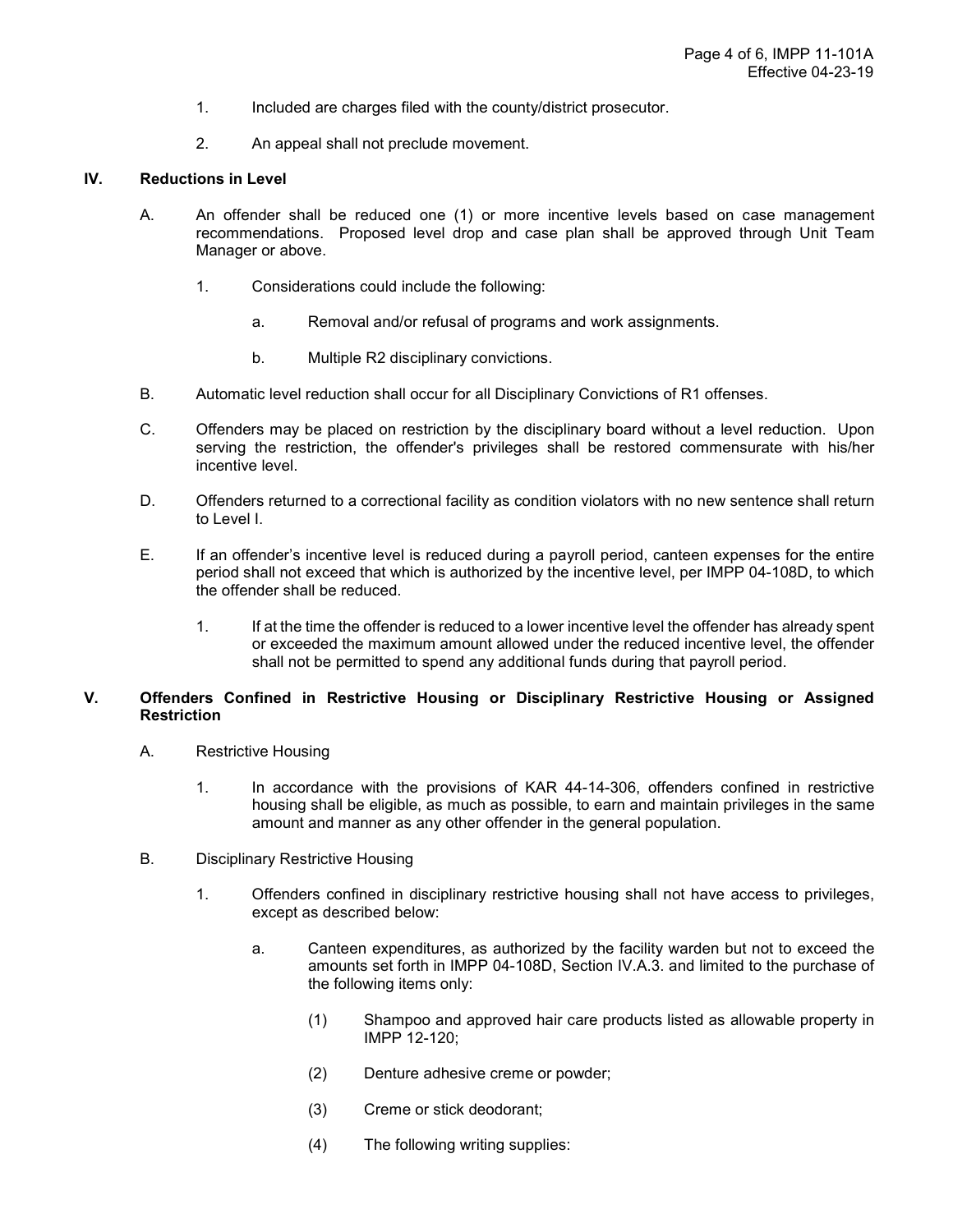- 1. Included are charges filed with the county/district prosecutor.
- 2. An appeal shall not preclude movement.

#### IV. Reductions in Level

- A. An offender shall be reduced one (1) or more incentive levels based on case management recommendations. Proposed level drop and case plan shall be approved through Unit Team Manager or above.
	- 1. Considerations could include the following:
		- a. Removal and/or refusal of programs and work assignments.
		- b. Multiple R2 disciplinary convictions.
- B. Automatic level reduction shall occur for all Disciplinary Convictions of R1 offenses.
- C. Offenders may be placed on restriction by the disciplinary board without a level reduction. Upon serving the restriction, the offender's privileges shall be restored commensurate with his/her incentive level.
- D. Offenders returned to a correctional facility as condition violators with no new sentence shall return to Level I.
- E. If an offender's incentive level is reduced during a payroll period, canteen expenses for the entire period shall not exceed that which is authorized by the incentive level, per IMPP 04-108D, to which the offender shall be reduced.
	- 1. If at the time the offender is reduced to a lower incentive level the offender has already spent or exceeded the maximum amount allowed under the reduced incentive level, the offender shall not be permitted to spend any additional funds during that payroll period.

### V. Offenders Confined in Restrictive Housing or Disciplinary Restrictive Housing or Assigned **Restriction**

- A. Restrictive Housing
	- 1. In accordance with the provisions of KAR 44-14-306, offenders confined in restrictive housing shall be eligible, as much as possible, to earn and maintain privileges in the same amount and manner as any other offender in the general population.
- B. Disciplinary Restrictive Housing
	- 1. Offenders confined in disciplinary restrictive housing shall not have access to privileges, except as described below:
		- a. Canteen expenditures, as authorized by the facility warden but not to exceed the amounts set forth in IMPP 04-108D, Section IV.A.3. and limited to the purchase of the following items only:
			- (1) Shampoo and approved hair care products listed as allowable property in IMPP 12-120;
			- (2) Denture adhesive creme or powder;
			- (3) Creme or stick deodorant;
			- (4) The following writing supplies: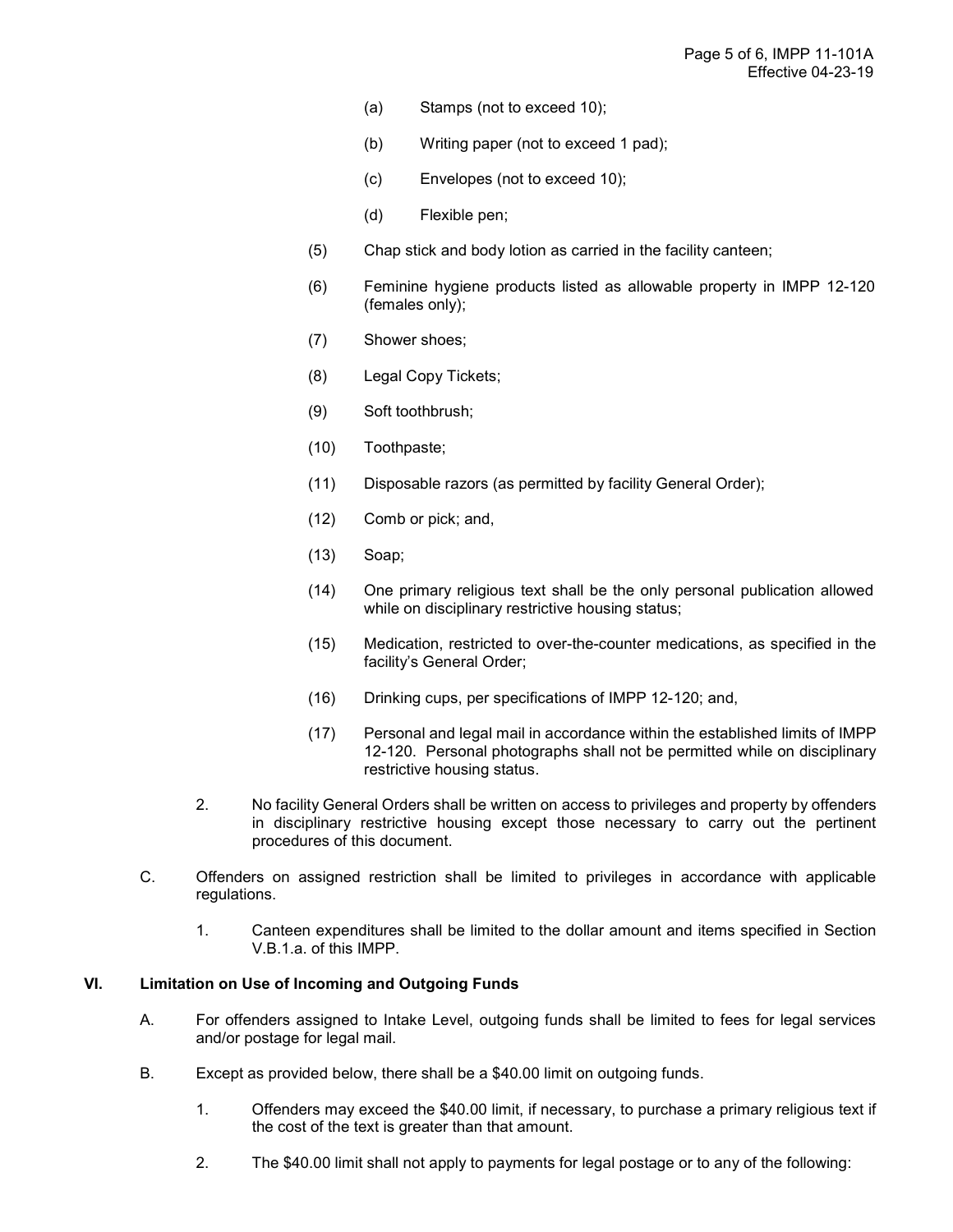- (a) Stamps (not to exceed 10);
- (b) Writing paper (not to exceed 1 pad);
- (c) Envelopes (not to exceed 10);
- (d) Flexible pen;
- (5) Chap stick and body lotion as carried in the facility canteen;
- (6) Feminine hygiene products listed as allowable property in IMPP 12-120 (females only);
- (7) Shower shoes;
- (8) Legal Copy Tickets;
- (9) Soft toothbrush;
- (10) Toothpaste;
- (11) Disposable razors (as permitted by facility General Order);
- (12) Comb or pick; and,
- (13) Soap;
- (14) One primary religious text shall be the only personal publication allowed while on disciplinary restrictive housing status;
- (15) Medication, restricted to over-the-counter medications, as specified in the facility's General Order;
- (16) Drinking cups, per specifications of IMPP 12-120; and,
- (17) Personal and legal mail in accordance within the established limits of IMPP 12-120. Personal photographs shall not be permitted while on disciplinary restrictive housing status.
- 2. No facility General Orders shall be written on access to privileges and property by offenders in disciplinary restrictive housing except those necessary to carry out the pertinent procedures of this document.
- C. Offenders on assigned restriction shall be limited to privileges in accordance with applicable regulations.
	- 1. Canteen expenditures shall be limited to the dollar amount and items specified in Section V.B.1.a. of this IMPP.

## VI. Limitation on Use of Incoming and Outgoing Funds

- A. For offenders assigned to Intake Level, outgoing funds shall be limited to fees for legal services and/or postage for legal mail.
- B. Except as provided below, there shall be a \$40.00 limit on outgoing funds.
	- 1. Offenders may exceed the \$40.00 limit, if necessary, to purchase a primary religious text if the cost of the text is greater than that amount.
	- 2. The \$40.00 limit shall not apply to payments for legal postage or to any of the following: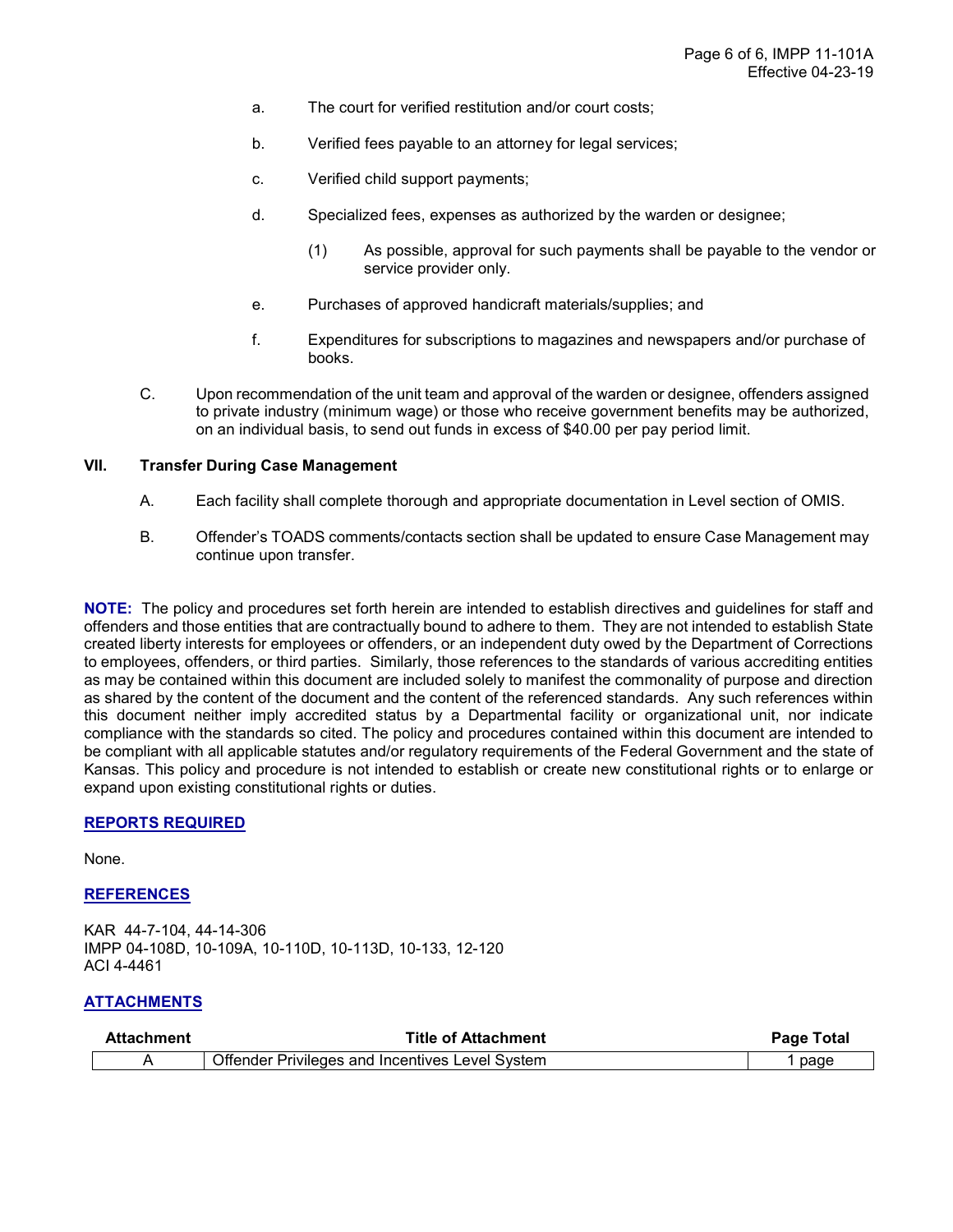- a. The court for verified restitution and/or court costs;
- b. Verified fees payable to an attorney for legal services;
- c. Verified child support payments;
- d. Specialized fees, expenses as authorized by the warden or designee;
	- (1) As possible, approval for such payments shall be payable to the vendor or service provider only.
- e. Purchases of approved handicraft materials/supplies; and
- f. Expenditures for subscriptions to magazines and newspapers and/or purchase of books.
- C. Upon recommendation of the unit team and approval of the warden or designee, offenders assigned to private industry (minimum wage) or those who receive government benefits may be authorized, on an individual basis, to send out funds in excess of \$40.00 per pay period limit.

## VII. Transfer During Case Management

- A. Each facility shall complete thorough and appropriate documentation in Level section of OMIS.
- B. Offender's TOADS comments/contacts section shall be updated to ensure Case Management may continue upon transfer.

NOTE: The policy and procedures set forth herein are intended to establish directives and guidelines for staff and offenders and those entities that are contractually bound to adhere to them. They are not intended to establish State created liberty interests for employees or offenders, or an independent duty owed by the Department of Corrections to employees, offenders, or third parties. Similarly, those references to the standards of various accrediting entities as may be contained within this document are included solely to manifest the commonality of purpose and direction as shared by the content of the document and the content of the referenced standards. Any such references within this document neither imply accredited status by a Departmental facility or organizational unit, nor indicate compliance with the standards so cited. The policy and procedures contained within this document are intended to be compliant with all applicable statutes and/or regulatory requirements of the Federal Government and the state of Kansas. This policy and procedure is not intended to establish or create new constitutional rights or to enlarge or expand upon existing constitutional rights or duties.

#### REPORTS REQUIRED

None.

#### REFERENCES

KAR 44-7-104, 44-14-306 IMPP 04-108D, 10-109A, 10-110D, 10-113D, 10-133, 12-120 ACI 4-4461

### ATTACHMENTS

| Attachment | <b>Title of Attachment</b>                      | Page Total |  |
|------------|-------------------------------------------------|------------|--|
|            | Offender Privileges and Incentives Level System | page       |  |